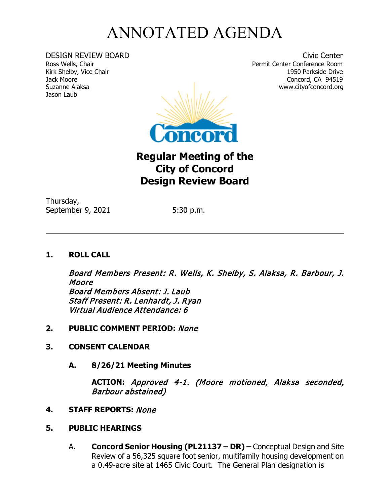## ANNOTATED AGENDA

Jason Laub

DESIGN REVIEW BOARD Civic Center Ross Wells, Chair Permit Center Conference Room Kirk Shelby, Vice Chair 1950 Parkside Drive Jack Moore Concord, CA 94519 www.cityofconcord.org



**Regular Meeting of the City of Concord Design Review Board**

Thursday, September 9, 2021 5:30 p.m.

## **1. ROLL CALL**

Board Members Present: R. Wells, K. Shelby, S. Alaksa, R. Barbour, J. Moore Board Members Absent: J. Laub Staff Present: R. Lenhardt, J. Ryan Virtual Audience Attendance: 6

 $\overline{a}$ 

- **2. PUBLIC COMMENT PERIOD:** None
- **3. CONSENT CALENDAR**
	- **A. 8/26/21 Meeting Minutes**

**ACTION:** Approved 4-1. (Moore motioned, Alaksa seconded, Barbour abstained)

- **4. STAFF REPORTS:** None
- **5. PUBLIC HEARINGS**
	- A. **Concord Senior Housing (PL21137 – DR) –** Conceptual Design and Site Review of a 56,325 square foot senior, multifamily housing development on a 0.49-acre site at 1465 Civic Court. The General Plan designation is